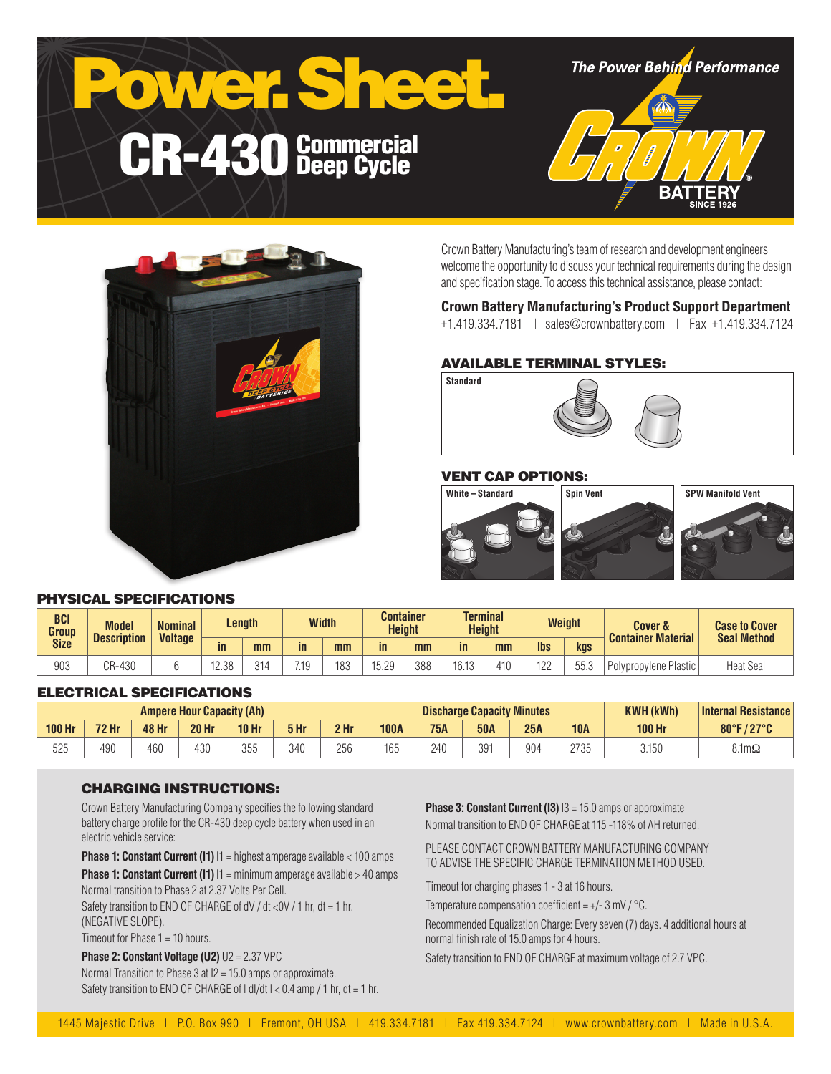

**The Power Behind Performance** 





Crown Battery Manufacturing's team of research and development engineers welcome the opportunity to discuss your technical requirements during the design and specification stage. To access this technical assistance, please contact:

# **Crown Battery Manufacturing's Product Support Department**

+1.419.334.7181 | sales@crownbattery.com | Fax +1.419.334.7124

# AVAILABLE TERMINAL STYLES:



# VENT CAP OPTIONS:



# PHYSICAL SPECIFICATIONS

| <b>BCI</b><br>Group<br><b>Size</b> | <b>Model</b><br><b>Description</b> | <b>Nominal</b><br><b>Voltage</b> | Length |     | <b>Width</b> |     |                   | Container<br><b>Height</b> |           | Terminal<br><b>Height</b> |            | <b>Weight</b> | Cover &<br><b>Container Material</b> | <b>Case to Cover</b><br><b>Seal Method</b> |
|------------------------------------|------------------------------------|----------------------------------|--------|-----|--------------|-----|-------------------|----------------------------|-----------|---------------------------|------------|---------------|--------------------------------------|--------------------------------------------|
|                                    |                                    |                                  | in     | mm  | in.          | mm  | in                | mm                         | <i>in</i> | mm                        | <b>lbs</b> | kgs           |                                      |                                            |
| 903                                | CR-430                             |                                  | 1238   | 314 | 710<br>ا .   | 183 | 5.2Q<br>1 J . L J | 388                        | 16.13     | 410                       | 122        | EE S<br>ບບ.ວ  | Polypropylene Plastic                | <b>Heat Seal</b>                           |

#### ELECTRICAL SPECIFICATIONS

| <b>Ampere Hour Capacity (Ah)</b> |              |       |              |                  |      | <b>Discharge Capacity Minutes</b> |             |            |            |     | <b>KWH (kWh)</b> | Internal Resistance |                      |
|----------------------------------|--------------|-------|--------------|------------------|------|-----------------------------------|-------------|------------|------------|-----|------------------|---------------------|----------------------|
| <b>100 Hr</b>                    | <b>72 Hr</b> | 48 Hr | <b>20 Hr</b> | 10 <sub>hr</sub> | 5 Hr | 2 Hr                              | <b>100A</b> | <b>75A</b> | <b>50A</b> | 25A | <b>10A</b>       | 100 Hr              | 80°F/27°C            |
| 525                              | 490          | 460   | 430          | 355<br>UUU       | 340  | 256                               | 165         | 240        | 301<br>◡◡  | 904 | 2725<br>ں رے     | 3.150               | $8.1 \text{m}\Omega$ |

#### CHARGING INSTRUCTIONS:

Crown Battery Manufacturing Company specifies the following standard battery charge profile for the CR-430 deep cycle battery when used in an electric vehicle service:

**Phase 1: Constant Current (I1)**  $11$  = highest amperage available < 100 amps

**Phase 1: Constant Current (I1)**  $11 = \text{minimum}$  amperage available > 40 amps Normal transition to Phase 2 at 2.37 Volts Per Cell.

Safety transition to END OF CHARGE of  $dV/dt < dV/1$  hr,  $dt = 1$  hr. (NEGATIVE SLOPE).

Timeout for Phase 1 = 10 hours.

**Phase 2: Constant Voltage (U2)** U2 = 2.37 VPC Normal Transition to Phase 3 at I2 = 15.0 amps or approximate. Safety transition to END OF CHARGE of  $| d|/dt$   $| < 0.4$  amp  $/ 1$  hr,  $dt = 1$  hr. **Phase 3: Constant Current (I3)**  $13 = 15.0$  amps or approximate Normal transition to END OF CHARGE at 115 -118% of AH returned.

PLEASE CONTACT CROWN BATTERY MANUFACTURING COMPANY TO ADVISE THE SPECIFIC CHARGE TERMINATION METHOD USED.

Timeout for charging phases 1 - 3 at 16 hours.

Temperature compensation coefficient =  $+/- 3$  mV  $/$  °C.

Recommended Equalization Charge: Every seven (7) days. 4 additional hours at normal finish rate of 15.0 amps for 4 hours.

Safety transition to END OF CHARGE at maximum voltage of 2.7 VPC.